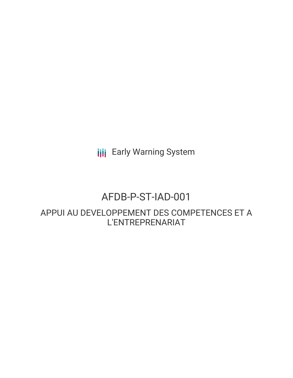**III** Early Warning System

# AFDB-P-ST-IAD-001

APPUI AU DEVELOPPEMENT DES COMPETENCES ET A L'ENTREPRENARIAT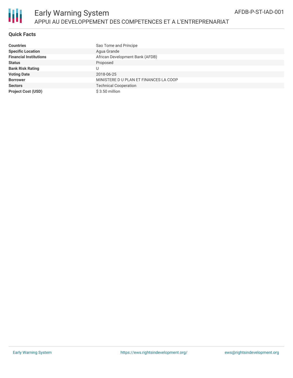

#### **Quick Facts**

| Countries                     | Sao Tome and Principe                 |
|-------------------------------|---------------------------------------|
| <b>Specific Location</b>      | Agua Grande                           |
| <b>Financial Institutions</b> | African Development Bank (AFDB)       |
| Status                        | Proposed                              |
| <b>Bank Risk Rating</b>       | U                                     |
| <b>Voting Date</b>            | 2018-06-25                            |
| <b>Borrower</b>               | MINISTERE DU PLAN ET FINANCES LA COOP |
| <b>Sectors</b>                | <b>Technical Cooperation</b>          |
| <b>Project Cost (USD)</b>     | $$3.50$ million                       |
|                               |                                       |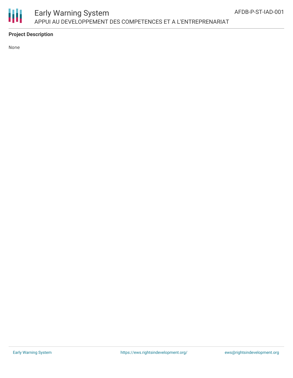

### Early Warning System APPUI AU DEVELOPPEMENT DES COMPETENCES ET A L'ENTREPRENARIAT

### **Project Description**

None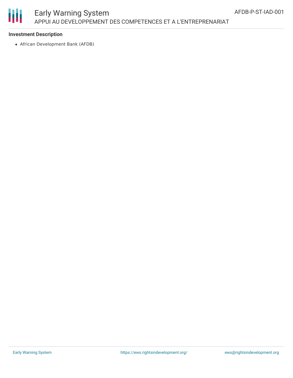

# Early Warning System APPUI AU DEVELOPPEMENT DES COMPETENCES ET A L'ENTREPRENARIAT

#### **Investment Description**

African Development Bank (AFDB)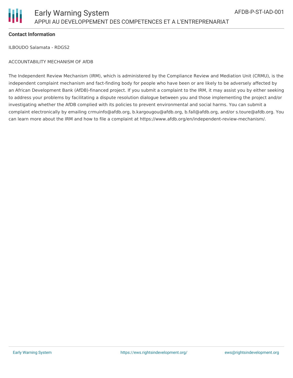

#### **Contact Information**

ILBOUDO Salamata - RDGS2

#### ACCOUNTABILITY MECHANISM OF AfDB

The Independent Review Mechanism (IRM), which is administered by the Compliance Review and Mediation Unit (CRMU), is the independent complaint mechanism and fact-finding body for people who have been or are likely to be adversely affected by an African Development Bank (AfDB)-financed project. If you submit a complaint to the IRM, it may assist you by either seeking to address your problems by facilitating a dispute resolution dialogue between you and those implementing the project and/or investigating whether the AfDB complied with its policies to prevent environmental and social harms. You can submit a complaint electronically by emailing crmuinfo@afdb.org, b.kargougou@afdb.org, b.fall@afdb.org, and/or s.toure@afdb.org. You can learn more about the IRM and how to file a complaint at https://www.afdb.org/en/independent-review-mechanism/.